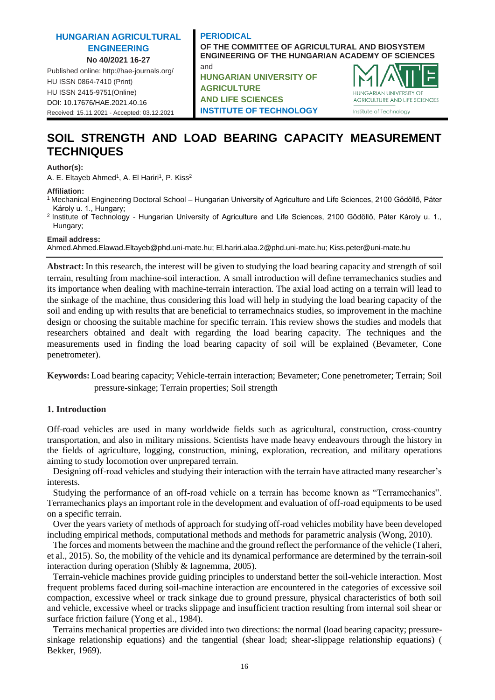# **HUNGARIAN AGRICULTURAL ENGINEERING No 40/2021 16-27**

Published online: http://hae-journals.org/ HU ISSN 0864-7410 (Print) HU ISSN 2415-9751(Online) [DOI: 10.17676/HAE.2021.40.16](https://doi.org/10.17676/HAE.2021.40.16) Received: 15.11.2021 - Accepted: 03.12.2021

### **PERIODICAL OF THE COMMITTEE OF AGRICULTURAL AND BIOSYSTEM ENGINEERING OF THE HUNGARIAN ACADEMY OF SCIENCES** and

**HUNGARIAN UNIVERSITY OF AGRICULTURE AND LIFE SCIENCES INSTITUTE OF TECHNOLOGY**



# **SOIL STRENGTH AND LOAD BEARING CAPACITY MEASUREMENT TECHNIQUES**

### **Author(s):**

A. E. Eltayeb Ahmed<sup>1</sup>, A. El Hariri<sup>1</sup>, P. Kiss<sup>2</sup>

### **Affiliation:**

- <sup>1</sup>Mechanical Engineering Doctoral School Hungarian University of Agriculture and Life Sciences, 2100 Gödöllő, Páter Károly u. 1., Hungary;
- <sup>2</sup> Institute of Technology Hungarian University of Agriculture and Life Sciences, 2100 Gödöllő, Páter Károly u. 1., Hungary;

**Email address:**

Ahmed.Ahmed.Elawad.Eltayeb@phd.uni-mate.hu; El.hariri.alaa.2@phd.uni-mate.hu; Kiss.peter@uni-mate.hu

**Abstract:** In this research, the interest will be given to studying the load bearing capacity and strength of soil terrain, resulting from machine-soil interaction. A small introduction will define terramechanics studies and its importance when dealing with machine-terrain interaction. The axial load acting on a terrain will lead to the sinkage of the machine, thus considering this load will help in studying the load bearing capacity of the soil and ending up with results that are beneficial to terramechnaics studies, so improvement in the machine design or choosing the suitable machine for specific terrain. This review shows the studies and models that researchers obtained and dealt with regarding the load bearing capacity. The techniques and the measurements used in finding the load bearing capacity of soil will be explained (Bevameter, Cone penetrometer).

**Keywords:** Load bearing capacity; Vehicle-terrain interaction; Bevameter; Cone penetrometer; Terrain; Soil pressure-sinkage; Terrain properties; Soil strength

# **1. Introduction**

Off-road vehicles are used in many worldwide fields such as agricultural, construction, cross-country transportation, and also in military missions. Scientists have made heavy endeavours through the history in the fields of agriculture, logging, construction, mining, exploration, recreation, and military operations aiming to study locomotion over unprepared terrain.

Designing off-road vehicles and studying their interaction with the terrain have attracted many researcher's interests.

Studying the performance of an off-road vehicle on a terrain has become known as "Terramechanics". Terramechanics plays an important role in the development and evaluation of off-road equipments to be used on a specific terrain.

Over the years variety of methods of approach for studying off-road vehicles mobility have been developed including empirical methods, computational methods and methods for parametric analysis (Wong, 2010).

The forces and moments between the machine and the ground reflect the performance of the vehicle (Taheri, et al., 2015). So, the mobility of the vehicle and its dynamical performance are determined by the terrain-soil interaction during operation (Shibly & Iagnemma, 2005).

Terrain-vehicle machines provide guiding principles to understand better the soil-vehicle interaction. Most frequent problems faced during soil-machine interaction are encountered in the categories of excessive soil compaction, excessive wheel or track sinkage due to ground pressure, physical characteristics of both soil and vehicle, excessive wheel or tracks slippage and insufficient traction resulting from internal soil shear or surface friction failure (Yong et al., 1984).

Terrains mechanical properties are divided into two directions: the normal (load bearing capacity; pressuresinkage relationship equations) and the tangential (shear load; shear-slippage relationship equations) ( Bekker, 1969).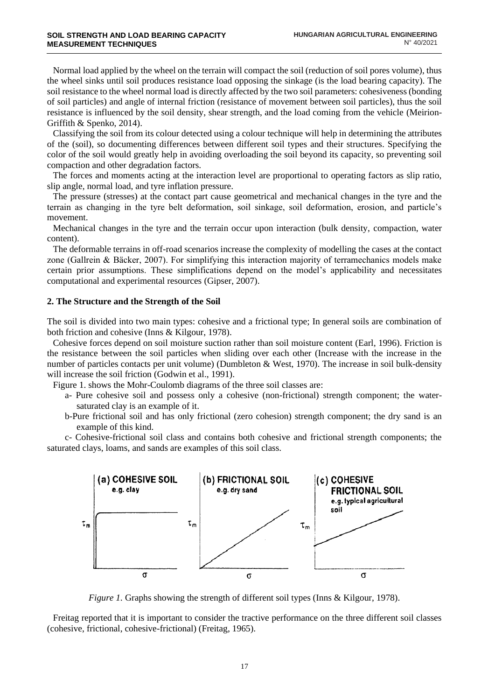Normal load applied by the wheel on the terrain will compact the soil (reduction of soil pores volume), thus the wheel sinks until soil produces resistance load opposing the sinkage (is the load bearing capacity). The soil resistance to the wheel normal load is directly affected by the two soil parameters: cohesiveness (bonding of soil particles) and angle of internal friction (resistance of movement between soil particles), thus the soil resistance is influenced by the soil density, shear strength, and the load coming from the vehicle (Meirion-Griffith & Spenko, 2014).

Classifying the soil from its colour detected using a colour technique will help in determining the attributes of the (soil), so documenting differences between different soil types and their structures. Specifying the color of the soil would greatly help in avoiding overloading the soil beyond its capacity, so preventing soil compaction and other degradation factors.

The forces and moments acting at the interaction level are proportional to operating factors as slip ratio, slip angle, normal load, and tyre inflation pressure.

The pressure (stresses) at the contact part cause geometrical and mechanical changes in the tyre and the terrain as changing in the tyre belt deformation, soil sinkage, soil deformation, erosion, and particle's movement.

Mechanical changes in the tyre and the terrain occur upon interaction (bulk density, compaction, water content).

The deformable terrains in off-road scenarios increase the complexity of modelling the cases at the contact zone (Gallrein & Bäcker, 2007). For simplifying this interaction majority of terramechanics models make certain prior assumptions. These simplifications depend on the model's applicability and necessitates computational and experimental resources (Gipser, 2007).

### **2. The Structure and the Strength of the Soil**

The soil is divided into two main types: cohesive and a frictional type; In general soils are combination of both friction and cohesive (Inns & Kilgour, 1978).

Cohesive forces depend on soil moisture suction rather than soil moisture content (Earl, 1996). Friction is the resistance between the soil particles when sliding over each other (Increase with the increase in the number of particles contacts per unit volume) (Dumbleton & West, 1970). The increase in soil bulk-density will increase the soil friction (Godwin et al., 1991).

Figure 1. shows the Mohr-Coulomb diagrams of the three soil classes are:

- a- Pure cohesive soil and possess only a cohesive (non-frictional) strength component; the watersaturated clay is an example of it.
- b-Pure frictional soil and has only frictional (zero cohesion) strength component; the dry sand is an example of this kind.

c- Cohesive-frictional soil class and contains both cohesive and frictional strength components; the saturated clays, loams, and sands are examples of this soil class.



*Figure 1.* Graphs showing the strength of different soil types (Inns & Kilgour, 1978).

Freitag reported that it is important to consider the tractive performance on the three different soil classes (cohesive, frictional, cohesive-frictional) (Freitag, 1965).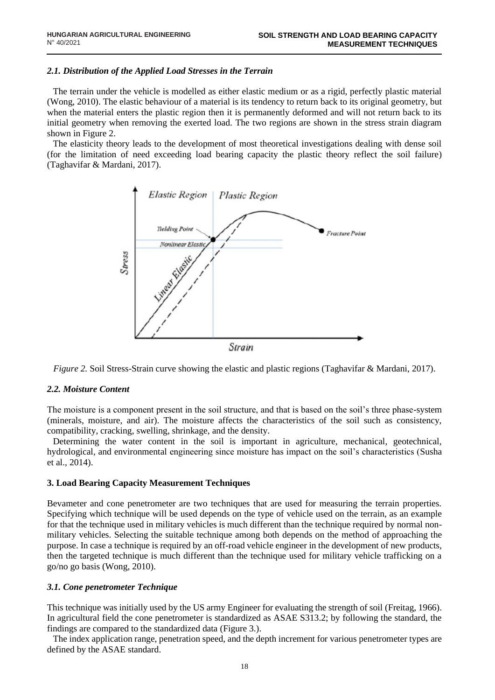# *2.1. Distribution of the Applied Load Stresses in the Terrain*

The terrain under the vehicle is modelled as either elastic medium or as a rigid, perfectly plastic material (Wong, 2010). The elastic behaviour of a material is its tendency to return back to its original geometry, but when the material enters the plastic region then it is permanently deformed and will not return back to its initial geometry when removing the exerted load. The two regions are shown in the stress strain diagram shown in Figure 2.

The elasticity theory leads to the development of most theoretical investigations dealing with dense soil (for the limitation of need exceeding load bearing capacity the plastic theory reflect the soil failure) (Taghavifar & Mardani, 2017).



*Figure 2.* Soil Stress-Strain curve showing the elastic and plastic regions (Taghavifar & Mardani, 2017).

# *2.2. Moisture Content*

The moisture is a component present in the soil structure, and that is based on the soil's three phase-system (minerals, moisture, and air). The moisture affects the characteristics of the soil such as consistency, compatibility, cracking, swelling, shrinkage, and the density.

Determining the water content in the soil is important in agriculture, mechanical, geotechnical, hydrological, and environmental engineering since moisture has impact on the soil's characteristics [\(Susha](https://www.sciencedirect.com/science/article/pii/S0263224114001651#!)  [et al.,](https://www.sciencedirect.com/science/article/pii/S0263224114001651#!) 2014).

# **3. Load Bearing Capacity Measurement Techniques**

Bevameter and cone penetrometer are two techniques that are used for measuring the terrain properties. Specifying which technique will be used depends on the type of vehicle used on the terrain, as an example for that the technique used in military vehicles is much different than the technique required by normal nonmilitary vehicles. Selecting the suitable technique among both depends on the method of approaching the purpose. In case a technique is required by an off-road vehicle engineer in the development of new products, then the targeted technique is much different than the technique used for military vehicle trafficking on a go/no go basis (Wong, 2010).

# *3.1. Cone penetrometer Technique*

This technique was initially used by the US army Engineer for evaluating the strength of soil (Freitag, 1966). In agricultural field the cone penetrometer is standardized as ASAE S313.2; by following the standard, the findings are compared to the standardized data (Figure 3.).

The index application range, penetration speed, and the depth increment for various penetrometer types are defined by the ASAE standard.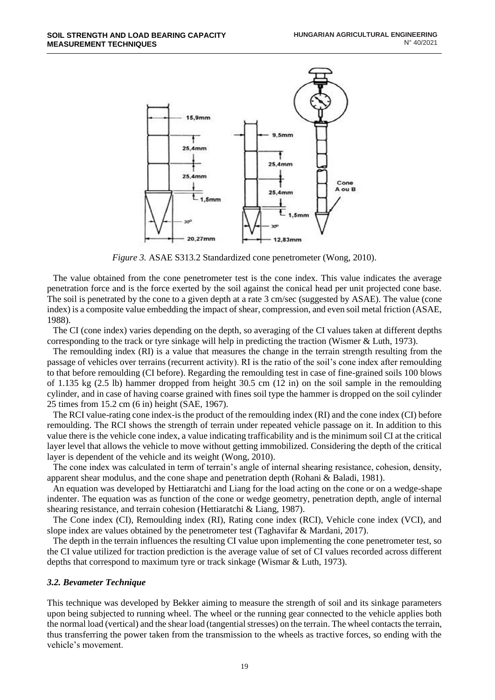

*Figure 3.* ASAE S313.2 Standardized cone penetrometer (Wong, 2010).

The value obtained from the cone penetrometer test is the cone index. This value indicates the average penetration force and is the force exerted by the soil against the conical head per unit projected cone base. The soil is penetrated by the cone to a given depth at a rate 3 cm/sec (suggested by ASAE). The value (cone index) is a composite value embedding the impact of shear, compression, and even soil metal friction (ASAE, 1988).

The CI (cone index) varies depending on the depth, so averaging of the CI values taken at different depths corresponding to the track or tyre sinkage will help in predicting the traction (Wismer & Luth, 1973).

The remoulding index (RI) is a value that measures the change in the terrain strength resulting from the passage of vehicles over terrains (recurrent activity). RI is the ratio of the soil's cone index after remoulding to that before remoulding (CI before). Regarding the remoulding test in case of fine-grained soils 100 blows of 1.135 kg (2.5 lb) hammer dropped from height 30.5 cm (12 in) on the soil sample in the remoulding cylinder, and in case of having coarse grained with fines soil type the hammer is dropped on the soil cylinder 25 times from 15.2 cm (6 in) height (SAE, 1967).

The RCI value-rating cone index-is the product of the remoulding index (RI) and the cone index (CI) before remoulding. The RCI shows the strength of terrain under repeated vehicle passage on it. In addition to this value there is the vehicle cone index, a value indicating trafficability and is the minimum soil CI at the critical layer level that allows the vehicle to move without getting immobilized. Considering the depth of the critical layer is dependent of the vehicle and its weight (Wong, 2010).

The cone index was calculated in term of terrain's angle of internal shearing resistance, cohesion, density, apparent shear modulus, and the cone shape and penetration depth (Rohani & Baladi, 1981).

An equation was developed by Hettiaratchi and Liang for the load acting on the cone or on a wedge-shape indenter. The equation was as function of the cone or wedge geometry, penetration depth, angle of internal shearing resistance, and terrain cohesion (Hettiaratchi & Liang, 1987).

The Cone index (CI), Remoulding index (RI), Rating cone index (RCI), Vehicle cone index (VCI), and slope index are values obtained by the penetrometer test (Taghavifar & Mardani, 2017).

The depth in the terrain influences the resulting CI value upon implementing the cone penetrometer test, so the CI value utilized for traction prediction is the average value of set of CI values recorded across different depths that correspond to maximum tyre or track sinkage (Wismar & Luth, 1973).

# *3.2. Bevameter Technique*

This technique was developed by Bekker aiming to measure the strength of soil and its sinkage parameters upon being subjected to running wheel. The wheel or the running gear connected to the vehicle applies both the normal load (vertical) and the shear load (tangential stresses) on the terrain. The wheel contacts the terrain, thus transferring the power taken from the transmission to the wheels as tractive forces, so ending with the vehicle's movement.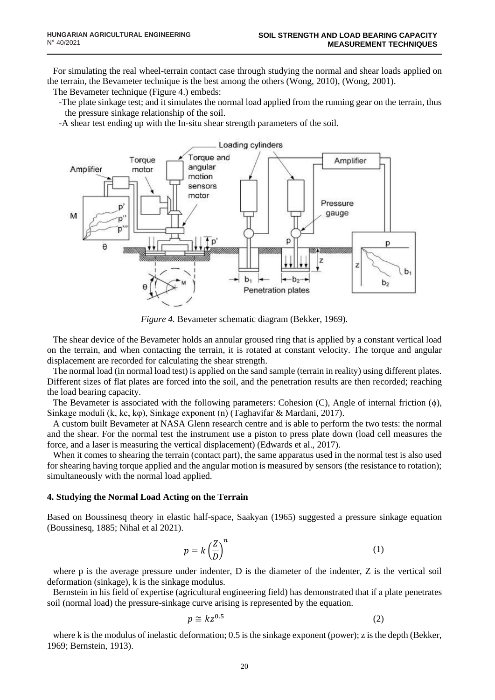For simulating the real wheel-terrain contact case through studying the normal and shear loads applied on the terrain, the Bevameter technique is the best among the others (Wong, 2010), (Wong, 2001).

The Bevameter technique (Figure 4.) embeds:

-The plate sinkage test; and it simulates the normal load applied from the running gear on the terrain, thus the pressure sinkage relationship of the soil.

-A shear test ending up with the In-situ shear strength parameters of the soil.



*Figure 4.* Bevameter schematic diagram (Bekker, 1969).

The shear device of the Bevameter holds an annular groused ring that is applied by a constant vertical load on the terrain, and when contacting the terrain, it is rotated at constant velocity. The torque and angular displacement are recorded for calculating the shear strength.

The normal load (in normal load test) is applied on the sand sample (terrain in reality) using different plates. Different sizes of flat plates are forced into the soil, and the penetration results are then recorded; reaching the load bearing capacity.

The Bevameter is associated with the following parameters: Cohesion (C), Angle of internal friction (ϕ), Sinkage moduli (k, kc, kφ), Sinkage exponent (n) (Taghavifar & Mardani, 2017).

A custom built Bevameter at NASA Glenn research centre and is able to perform the two tests: the normal and the shear. For the normal test the instrument use a piston to press plate down (load cell measures the force, and a laser is measuring the vertical displacement) (Edwards et al., 2017).

When it comes to shearing the terrain (contact part), the same apparatus used in the normal test is also used for shearing having torque applied and the angular motion is measured by sensors (the resistance to rotation); simultaneously with the normal load applied.

### **4. Studying the Normal Load Acting on the Terrain**

Based on Boussinesq theory in elastic half-space, Saakyan (1965) suggested a pressure sinkage equation (Boussinesq, 1885; Nihal et al 2021).

$$
p = k \left(\frac{Z}{D}\right)^n \tag{1}
$$

where p is the average pressure under indenter, D is the diameter of the indenter, Z is the vertical soil deformation (sinkage), k is the sinkage modulus.

Bernstein in his field of expertise (agricultural engineering field) has demonstrated that if a plate penetrates soil (normal load) the pressure-sinkage curve arising is represented by the equation.

$$
p \cong kz^{0.5} \tag{2}
$$

where k is the modulus of inelastic deformation; 0.5 is the sinkage exponent (power); z is the depth (Bekker, 1969; Bernstein, 1913).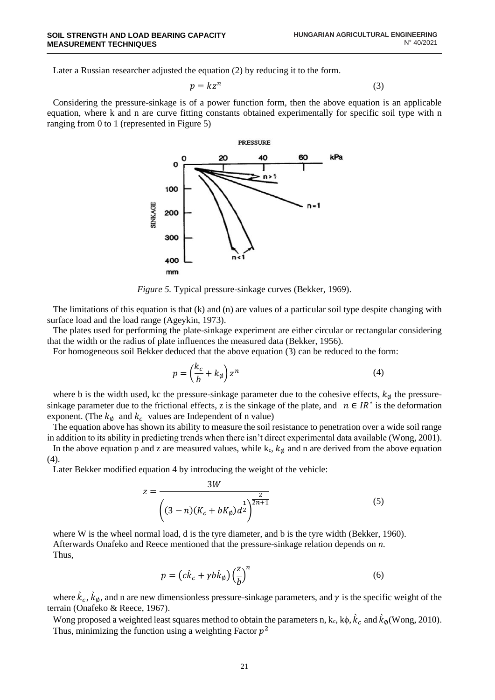Later a Russian researcher adjusted the equation (2) by reducing it to the form.

$$
p = kz^n \tag{3}
$$

Considering the pressure-sinkage is of a power function form, then the above equation is an applicable equation, where k and n are curve fitting constants obtained experimentally for specific soil type with n ranging from 0 to 1 (represented in Figure 5)



*Figure 5.* Typical pressure-sinkage curves (Bekker, 1969).

The limitations of this equation is that  $(k)$  and  $(n)$  are values of a particular soil type despite changing with surface load and the load range (Ageykin, 1973).

The plates used for performing the plate-sinkage experiment are either circular or rectangular considering that the width or the radius of plate influences the measured data (Bekker, 1956).

For homogeneous soil Bekker deduced that the above equation (3) can be reduced to the form:

$$
p = \left(\frac{k_c}{b} + k_\emptyset\right) z^n \tag{4}
$$

where b is the width used, kc the pressure-sinkage parameter due to the cohesive effects,  $k_{\phi}$  the pressuresinkage parameter due to the frictional effects, z is the sinkage of the plate, and  $n \in IR^*$  is the deformation exponent. (The  $k_{\emptyset}$  and  $k_c$  values are Independent of n value)

The equation above has shown its ability to measure the soil resistance to penetration over a wide soil range in addition to its ability in predicting trends when there isn't direct experimental data available (Wong, 2001).

In the above equation p and z are measured values, while  $k_c$ ,  $k<sub>Ø</sub>$  and n are derived from the above equation (4).

Later Bekker modified equation 4 by introducing the weight of the vehicle:

$$
z = \frac{3W}{\left( (3-n)(K_c + bK_{\emptyset})d^{\frac{1}{2}} \right)^{\frac{2}{2n+1}}}
$$
(5)

where W is the wheel normal load, d is the tyre diameter, and b is the tyre width (Bekker, 1960). Afterwards Onafeko and Reece mentioned that the pressure-sinkage relation depends on *n*. Thus,

$$
p = \left(c\hat{k}_c + \gamma b \hat{k}_\emptyset\right) \left(\frac{z}{b}\right)^n \tag{6}
$$

where  $\hat{k}_c$ ,  $\hat{k}_\phi$ , and n are new dimensionless pressure-sinkage parameters, and  $\gamma$  is the specific weight of the terrain (Onafeko & Reece, 1967).

Wong proposed a weighted least squares method to obtain the parameters n, k<sub>c</sub>, k $\phi$ ,  $\hat{k}_c$  and  $\hat{k}_\phi$ (Wong, 2010). Thus, minimizing the function using a weighting Factor  $p^2$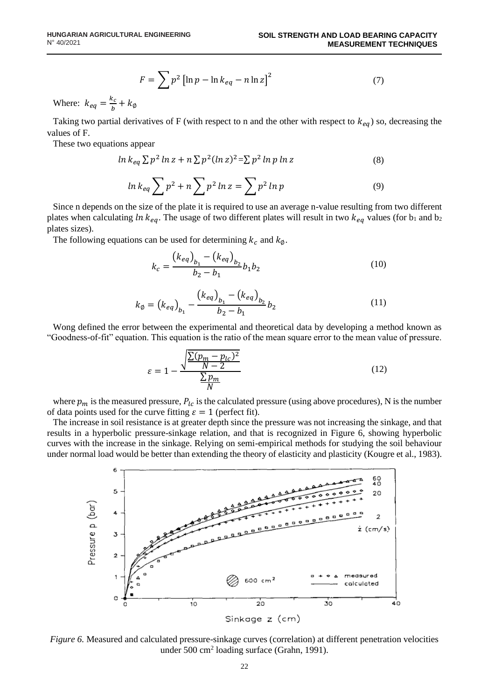$$
F = \sum p^2 \left[ \ln p - \ln k_{eq} - n \ln z \right]^2 \tag{7}
$$

Where:  $k_{eq} = \frac{k_c}{h}$  $\frac{c_c}{b}$  +  $k_{\emptyset}$ 

Taking two partial derivatives of F (with respect to n and the other with respect to  $k_{eq}$ ) so, decreasing the values of F.

These two equations appear

$$
\ln k_{eq} \sum p^2 \ln z + n \sum p^2 (\ln z)^2 = \sum p^2 \ln p \ln z \tag{8}
$$

$$
\ln k_{eq} \sum p^2 + n \sum p^2 \ln z = \sum p^2 \ln p \tag{9}
$$

Since n depends on the size of the plate it is required to use an average n-value resulting from two different plates when calculating  $\ln k_{eq}$ . The usage of two different plates will result in two  $k_{eq}$  values (for  $b_1$  and  $b_2$ plates sizes).

The following equations can be used for determining  $k_c$  and  $k_{\emptyset}$ .

$$
k_c = \frac{(k_{eq})_{b_1} - (k_{eq})_{b_2}}{b_2 - b_1} b_1 b_2
$$
\n(10)

$$
k_{\emptyset} = (k_{eq})_{b_1} - \frac{(k_{eq})_{b_1} - (k_{eq})_{b_2}}{b_2 - b_1} b_2
$$
\n(11)

Wong defined the error between the experimental and theoretical data by developing a method known as "Goodness-of-fit" equation. This equation is the ratio of the mean square error to the mean value of pressure.

$$
\varepsilon = 1 - \frac{\sqrt{\frac{\sum (p_m - p_{lc})^2}{N - 2}}}{\frac{\sum p_m}{N}}
$$
(12)

where  $p_m$  is the measured pressure,  $P_{lc}$  is the calculated pressure (using above procedures), N is the number of data points used for the curve fitting  $\varepsilon = 1$  (perfect fit).

The increase in soil resistance is at greater depth since the pressure was not increasing the sinkage, and that results in a hyperbolic pressure-sinkage relation, and that is recognized in Figure 6, showing hyperbolic curves with the increase in the sinkage. Relying on semi-empirical methods for studying the soil behaviour under normal load would be better than extending the theory of elasticity and plasticity (Kougre et al., 1983).



*Figure 6.* Measured and calculated pressure-sinkage curves (correlation) at different penetration velocities under 500 cm<sup>2</sup> loading surface (Grahn, 1991).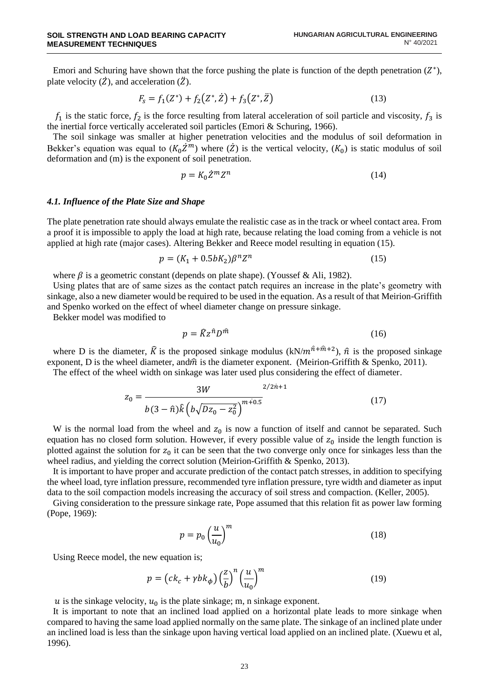Emori and Schuring have shown that the force pushing the plate is function of the depth penetration  $(Z^*)$ , plate velocity  $(\dot{Z})$ , and acceleration  $(\ddot{Z})$ .

$$
F_s = f_1(Z^*) + f_2(Z^*, \dot{Z}) + f_3(Z^*, \ddot{Z})
$$
\n(13)

 $f_1$  is the static force,  $f_2$  is the force resulting from lateral acceleration of soil particle and viscosity,  $f_3$  is the inertial force vertically accelerated soil particles (Emori & Schuring, 1966).

The soil sinkage was smaller at higher penetration velocities and the modulus of soil deformation in Bekker's equation was equal to  $(K_0 \dot{Z}^m)$  where  $(\dot{Z})$  is the vertical velocity,  $(K_0)$  is static modulus of soil deformation and (m) is the exponent of soil penetration.

$$
p = K_0 \dot{Z}^m Z^n \tag{14}
$$

### *4.1. Influence of the Plate Size and Shape*

The plate penetration rate should always emulate the realistic case as in the track or wheel contact area. From a proof it is impossible to apply the load at high rate, because relating the load coming from a vehicle is not applied at high rate (major cases). Altering Bekker and Reece model resulting in equation (15).

$$
p = (K_1 + 0.5bK_2)\beta^n Z^n
$$
 (15)

where  $\beta$  is a geometric constant (depends on plate shape). (Youssef & Ali, 1982).

Using plates that are of same sizes as the contact patch requires an increase in the plate's geometry with sinkage, also a new diameter would be required to be used in the equation. As a result of that Meirion-Griffith and Spenko worked on the effect of wheel diameter change on pressure sinkage.

Bekker model was modified to

$$
p = \hat{K}z^{\hat{n}}D^{\hat{m}} \tag{16}
$$

 $2/2/2$ 

where D is the diameter,  $\hat{K}$  is the proposed sinkage modulus (kN/ $m^{\hat{n}+\hat{m}+2}$ ),  $\hat{n}$  is the proposed sinkage exponent, D is the wheel diameter, and $\hat{m}$  is the diameter exponent. (Meirion-Griffith & Spenko, 2011).

The effect of the wheel width on sinkage was later used plus considering the effect of diameter.

$$
z_0 = \frac{3W}{b(3-\hat{n})\hat{k}\left(b\sqrt{Dz_0 - z_0^2}\right)^{m+0.5}}
$$
(17)

W is the normal load from the wheel and  $z_0$  is now a function of itself and cannot be separated. Such equation has no closed form solution. However, if every possible value of  $z_0$  inside the length function is plotted against the solution for  $z_0$  it can be seen that the two converge only once for sinkages less than the wheel radius, and yielding the correct solution (Meirion-Griffith & Spenko, 2013).

It is important to have proper and accurate prediction of the contact patch stresses, in addition to specifying the wheel load, tyre inflation pressure, recommended tyre inflation pressure, tyre width and diameter as input data to the soil compaction models increasing the accuracy of soil stress and compaction. (Keller, 2005).

Giving consideration to the pressure sinkage rate, Pope assumed that this relation fit as power law forming (Pope, 1969):

$$
p = p_0 \left(\frac{u}{u_0}\right)^m \tag{18}
$$

Using Reece model, the new equation is;

$$
p = \left(ck_c + \gamma bk_\phi\right) \left(\frac{z}{b}\right)^n \left(\frac{u}{u_0}\right)^m \tag{19}
$$

u is the sinkage velocity,  $u_0$  is the plate sinkage; m, n sinkage exponent.

It is important to note that an inclined load applied on a horizontal plate leads to more sinkage when compared to having the same load applied normally on the same plate. The sinkage of an inclined plate under an inclined load is less than the sinkage upon having vertical load applied on an inclined plate. (Xuewu et al, 1996).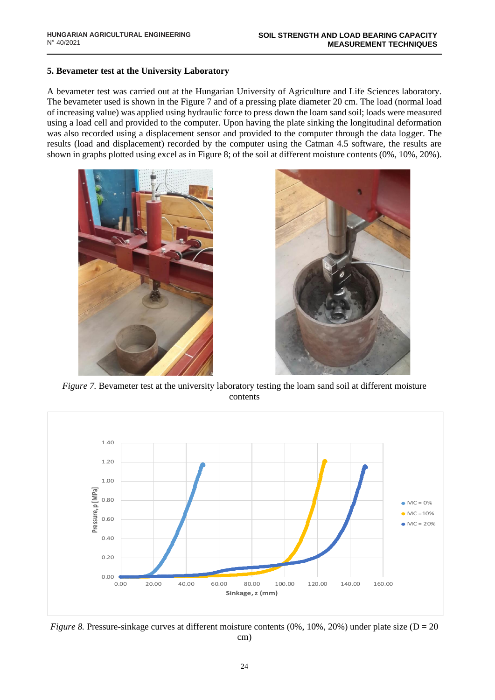# **5. Bevameter test at the University Laboratory**

A bevameter test was carried out at the Hungarian University of Agriculture and Life Sciences laboratory. The bevameter used is shown in the Figure 7 and of a pressing plate diameter 20 cm. The load (normal load of increasing value) was applied using hydraulic force to press down the loam sand soil; loads were measured using a load cell and provided to the computer. Upon having the plate sinking the longitudinal deformation was also recorded using a displacement sensor and provided to the computer through the data logger. The results (load and displacement) recorded by the computer using the Catman 4.5 software, the results are shown in graphs plotted using excel as in Figure 8; of the soil at different moisture contents (0%, 10%, 20%).





*Figure 7.* Bevameter test at the university laboratory testing the loam sand soil at different moisture contents



*Figure 8.* Pressure-sinkage curves at different moisture contents  $(0\%, 10\%, 20\%)$  under plate size  $(D = 20$ cm)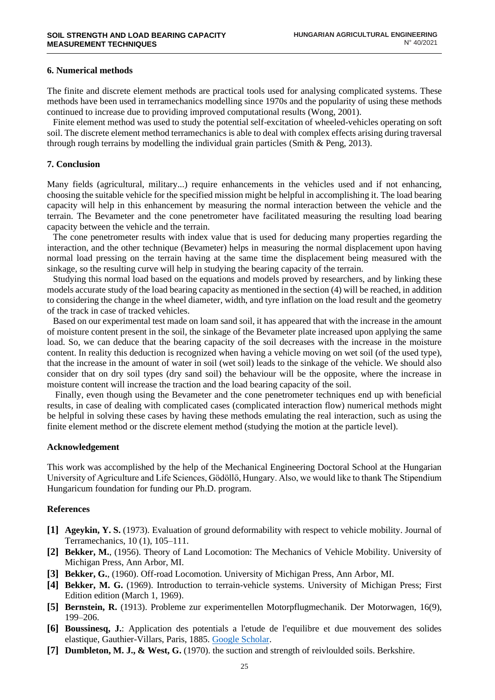## **6. Numerical methods**

The finite and discrete element methods are practical tools used for analysing complicated systems. These methods have been used in terramechanics modelling since 1970s and the popularity of using these methods continued to increase due to providing improved computational results (Wong, 2001).

Finite element method was used to study the potential self-excitation of wheeled-vehicles operating on soft soil. The discrete element method terramechanics is able to deal with complex effects arising during traversal through rough terrains by modelling the individual grain particles (Smith  $\&$  Peng, 2013).

### **7. Conclusion**

Many fields (agricultural, military...) require enhancements in the vehicles used and if not enhancing, choosing the suitable vehicle for the specified mission might be helpful in accomplishing it. The load bearing capacity will help in this enhancement by measuring the normal interaction between the vehicle and the terrain. The Bevameter and the cone penetrometer have facilitated measuring the resulting load bearing capacity between the vehicle and the terrain.

The cone penetrometer results with index value that is used for deducing many properties regarding the interaction, and the other technique (Bevameter) helps in measuring the normal displacement upon having normal load pressing on the terrain having at the same time the displacement being measured with the sinkage, so the resulting curve will help in studying the bearing capacity of the terrain.

Studying this normal load based on the equations and models proved by researchers, and by linking these models accurate study of the load bearing capacity as mentioned in the section (4) will be reached, in addition to considering the change in the wheel diameter, width, and tyre inflation on the load result and the geometry of the track in case of tracked vehicles.

Based on our experimental test made on loam sand soil, it has appeared that with the increase in the amount of moisture content present in the soil, the sinkage of the Bevameter plate increased upon applying the same load. So, we can deduce that the bearing capacity of the soil decreases with the increase in the moisture content. In reality this deduction is recognized when having a vehicle moving on wet soil (of the used type), that the increase in the amount of water in soil (wet soil) leads to the sinkage of the vehicle. We should also consider that on dry soil types (dry sand soil) the behaviour will be the opposite, where the increase in moisture content will increase the traction and the load bearing capacity of the soil.

Finally, even though using the Bevameter and the cone penetrometer techniques end up with beneficial results, in case of dealing with complicated cases (complicated interaction flow) numerical methods might be helpful in solving these cases by having these methods emulating the real interaction, such as using the finite element method or the discrete element method (studying the motion at the particle level).

#### **Acknowledgement**

This work was accomplished by the help of the Mechanical Engineering Doctoral School at the Hungarian University of Agriculture and Life Sciences, Gödöllő, Hungary. Also, we would like to thank The Stipendium Hungaricum foundation for funding our Ph.D. program.

### **References**

- **[1] Ageykin, Y. S.** (1973). Evaluation of ground deformability with respect to vehicle mobility. Journal of Terramechanics, 10 (1), 105–111.
- **[2] Bekker, M.**, (1956). Theory of Land Locomotion: The Mechanics of Vehicle Mobility. University of Michigan Press, Ann Arbor, MI.
- **[3] Bekker, G.**, (1960). Off-road Locomotion. University of Michigan Press, Ann Arbor, MI.
- **[4] Bekker, M. G.** (1969). Introduction to terrain-vehicle systems. University of Michigan Press; First Edition edition (March 1, 1969).
- **[5] Bernstein, R.** (1913). Probleme zur experimentellen Motorpflugmechanik. Der Motorwagen, 16(9), 199–206.
- **[6] Boussinesq, J.**: Application des potentials a l'etude de l'equilibre et due mouvement des solides elastique, Gauthier-Villars, Paris, 1885. [Google Scholar.](http://scholar.google.com/scholar_lookup?hl=en&publication_year=1885&author=+Boussinesq%2C+J.&title=Application+des+potentials+a+l%27etude+de+l%27equilibre+et+due+mouvement+des+solides+elastique)
- **[7] Dumbleton, M. J., & West, G.** (1970). the suction and strength of reivloulded soils. Berkshire.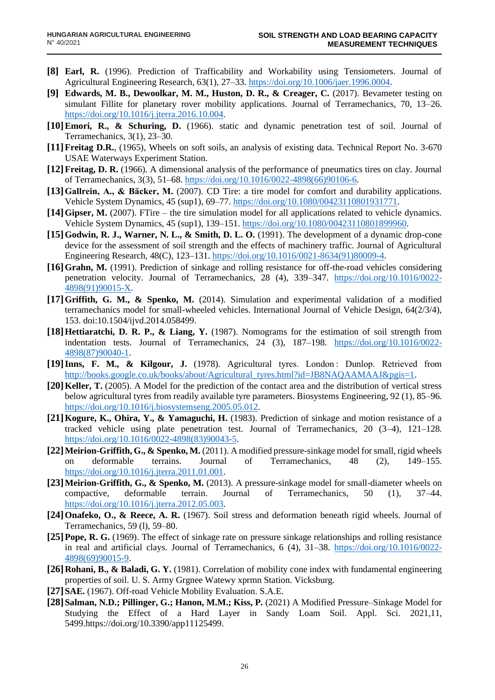- **[8] Earl, R.** (1996). Prediction of Trafficability and Workability using Tensiometers. Journal of Agricultural Engineering Research, 63(1), 27–33. [https://doi.org/10.1006/jaer.1996.0004.](https://doi.org/10.1006/jaer.1996.0004)
- **[9] Edwards, M. B., Dewoolkar, M. M., Huston, D. R., & Creager, C.** (2017). Bevameter testing on simulant Fillite for planetary rover mobility applications. Journal of Terramechanics, 70, 13–26. [https://doi.org/10.1016/j.jterra.2016.10.004.](https://doi.org/10.1016/j.jterra.2016.10.004)
- **[10]Emori, R., & Schuring, D.** (1966). static and dynamic penetration test of soil. Journal of Terramechanics, 3(1), 23–30.
- **[11]Freitag D.R.**, (1965), Wheels on soft soils, an analysis of existing data. Technical Report No. 3-670 USAE Waterways Experiment Station.
- **[12]Freitag, D. R.** (1966). A dimensional analysis of the performance of pneumatics tires on clay. Journal of Terramechanics, 3(3), 51–68. [https://doi.org/10.1016/0022-4898\(66\)90106-6.](https://doi.org/10.1016/0022-4898(66)90106-6)
- **[13]Gallrein, A., & Bäcker, M.** (2007). CD Tire: a tire model for comfort and durability applications. Vehicle System Dynamics, 45 (sup1), 69–77. [https://doi.org/10.1080/00423110801931771.](https://doi.org/10.1080/00423110801931771)
- **[14]Gipser, M.** (2007). FTire the tire simulation model for all applications related to vehicle dynamics. Vehicle System Dynamics, 45 (sup1), 139–151. [https://doi.org/10.1080/00423110801899960.](https://doi.org/10.1080/00423110801899960)
- **[15]Godwin, R. J., Warner, N. L., & Smith, D. L. O.** (1991). The development of a dynamic drop-cone device for the assessment of soil strength and the effects of machinery traffic. Journal of Agricultural Engineering Research, 48(C), 123–131. [https://doi.org/10.1016/0021-8634\(91\)80009-4.](https://doi.org/10.1016/0021-8634(91)80009-4)
- **[16]Grahn, M.** (1991). Prediction of sinkage and rolling resistance for off-the-road vehicles considering penetration velocity. Journal of Terramechanics, 28 (4), 339–347. [https://doi.org/10.1016/0022-](https://doi.org/10.1016/0022-4898(91)90015-X) [4898\(91\)90015-X.](https://doi.org/10.1016/0022-4898(91)90015-X)
- **[17]Griffith, G. M., & Spenko, M.** (2014). Simulation and experimental validation of a modified terramechanics model for small-wheeled vehicles. International Journal of Vehicle Design, 64(2/3/4), 153. doi:10.1504/ijvd.2014.058499.
- **[18]Hettiaratchi, D. R. P., & Liang, Y.** (1987). Nomograms for the estimation of soil strength from indentation tests. Journal of Terramechanics, 24 (3), 187–198. [https://doi.org/10.1016/0022-](https://doi.org/10.1016/0022-4898(87)90040-1) [4898\(87\)90040-1.](https://doi.org/10.1016/0022-4898(87)90040-1)
- **[19]Inns, F. M., & Kilgour, J.** (1978). Agricultural tyres. London : Dunlop. Retrieved from [http://books.google.co.uk/books/about/Agricultural\\_tyres.html?id=JB8NAQAAMAAJ&pgis=1.](http://books.google.co.uk/books/about/Agricultural_tyres.html?id=JB8NAQAAMAAJ&pgis=1)
- **[20]Keller, T.** (2005). A Model for the prediction of the contact area and the distribution of vertical stress below agricultural tyres from readily available tyre parameters. Biosystems Engineering, 92 (1), 85–96. [https://doi.org/10.1016/j.biosystemseng.2005.05.012.](https://doi.org/10.1016/j.biosystemseng.2005.05.012)
- **[21]Kogure, K., Ohira, Y., & Yamaguchi, H.** (1983). Prediction of sinkage and motion resistance of a tracked vehicle using plate penetration test. Journal of Terramechanics, 20 (3–4), 121–128. [https://doi.org/10.1016/0022-4898\(83\)90043-5.](https://doi.org/10.1016/0022-4898(83)90043-5)
- **[22]Meirion-Griffith, G., & Spenko, M.** (2011). A modified pressure-sinkage model for small, rigid wheels on deformable terrains. Journal of Terramechanics, 48 (2), 149–155. [https://doi.org/10.1016/j.jterra.2011.01.001.](https://doi.org/10.1016/j.jterra.2011.01.001)
- **[23]Meirion-Griffith, G., & Spenko, M.** (2013). A pressure-sinkage model for small-diameter wheels on compactive, deformable terrain. Journal of Terramechanics, 50 (1), 37–44. [https://doi.org/10.1016/j.jterra.2012.05.003.](https://doi.org/10.1016/j.jterra.2012.05.003)
- **[24]Onafeko, O., & Reece, A. R.** (1967). Soil stress and deformation beneath rigid wheels. Journal of Terramechanics, 59 (l), 59–80.
- **[25]Pope, R. G.** (1969). The effect of sinkage rate on pressure sinkage relationships and rolling resistance in real and artificial clays. Journal of Terramechanics, 6 (4), 31–38. [https://doi.org/10.1016/0022-](https://doi.org/10.1016/0022-4898(69)90015-9) [4898\(69\)90015-9.](https://doi.org/10.1016/0022-4898(69)90015-9)
- **[26]Rohani, B., & Baladi, G. Y.** (1981). Correlation of mobility cone index with fundamental engineering properties of soil. U. S. Army Grgnee Watewy xprmn Station. Vicksburg.
- **[27]SAE.** (1967). Off-road Vehicle Mobility Evaluation. S.A.E.
- **[28]Salman, N.D.; Pillinger, G.; Hanon, M.M.; Kiss, P.** (2021) A Modified Pressure–Sinkage Model for Studying the Effect of a Hard Layer in Sandy Loam Soil. Appl. Sci. 2021,11, 5499.https://doi.org/10.3390/app11125499.